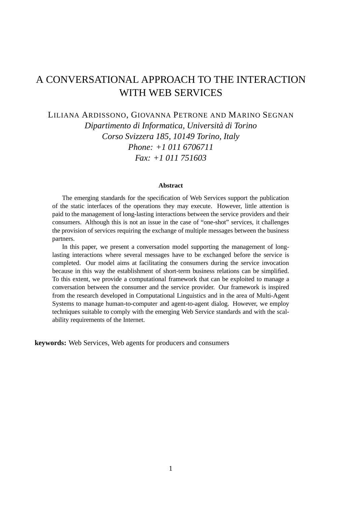# A CONVERSATIONAL APPROACH TO THE INTERACTION WITH WEB SERVICES

LILIANA ARDISSONO, GIOVANNA PETRONE AND MARINO SEGNAN *Dipartimento di Informatica, Universita di Torino ` Corso Svizzera 185, 10149 Torino, Italy Phone: +1 011 6706711 Fax: +1 011 751603*

#### **Abstract**

The emerging standards for the specification of Web Services support the publication of the static interfaces of the operations they may execute. However, little attention is paid to the management of long-lasting interactions between the service providers and their consumers. Although this is not an issue in the case of "one-shot" services, it challenges the provision of services requiring the exchange of multiple messages between the business partners.

In this paper, we present a conversation model supporting the management of longlasting interactions where several messages have to be exchanged before the service is completed. Our model aims at facilitating the consumers during the service invocation because in this way the establishment of short-term business relations can be simplified. To this extent, we provide a computational framework that can be exploited to manage a conversation between the consumer and the service provider. Our framework is inspired from the research developed in Computational Linguistics and in the area of Multi-Agent Systems to manage human-to-computer and agent-to-agent dialog. However, we employ techniques suitable to comply with the emerging Web Service standards and with the scalability requirements of the Internet.

**keywords:** Web Services, Web agents for producers and consumers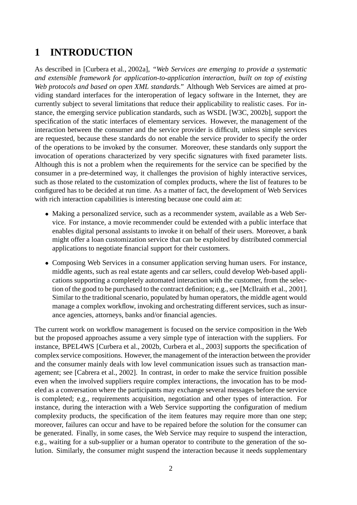# **1 INTRODUCTION**

As described in [Curbera et al., 2002a], *"Web Services are emerging to provide a systematic and extensible framework for application-to-application interaction, built on top of existing Web protocols and based on open XML standards."* Although Web Services are aimed at providing standard interfaces for the interoperation of legacy software in the Internet, they are currently subject to several limitations that reduce their applicability to realistic cases. For instance, the emerging service publication standards, such as WSDL [W3C, 2002b], support the specification of the static interfaces of elementary services. However, the management of the interaction between the consumer and the service provider is difficult, unless simple services are requested, because these standards do not enable the service provider to specify the order of the operations to be invoked by the consumer. Moreover, these standards only support the invocation of operations characterized by very specific signatures with fixed parameter lists. Although this is not a problem when the requirements for the service can be specified by the consumer in a pre-determined way, it challenges the provision of highly interactive services, such as those related to the customization of complex products, where the list of features to be configured has to be decided at run time. As a matter of fact, the development of Web Services with rich interaction capabilities is interesting because one could aim at:

- Making a personalized service, such as a recommender system, available as a Web Service. For instance, a movie recommender could be extended with a public interface that enables digital personal assistants to invoke it on behalf of their users. Moreover, a bank might offer a loan customization service that can be exploited by distributed commercial applications to negotiate financial support for their customers.
- Composing Web Services in a consumer application serving human users. For instance, middle agents, such as real estate agents and car sellers, could develop Web-based applications supporting a completely automated interaction with the customer, from the selection of the good to be purchased to the contract definition; e.g., see [McIlraith et al., 2001]. Similar to the traditional scenario, populated by human operators, the middle agent would manage a complex workflow, invoking and orchestrating different services, such as insurance agencies, attorneys, banks and/or financial agencies.

The current work on workflow management is focused on the service composition in the Web but the proposed approaches assume a very simple type of interaction with the suppliers. For instance, BPEL4WS [Curbera et al., 2002b, Curbera et al., 2003] supports the specification of complex service compositions. However, the management of the interaction between the provider and the consumer mainly deals with low level communication issues such as transaction management; see [Cabrera et al., 2002]. In contrast, in order to make the service fruition possible even when the involved suppliers require complex interactions, the invocation has to be modeled as a conversation where the participants may exchange several messages before the service is completed; e.g., requirements acquisition, negotiation and other types of interaction. For instance, during the interaction with a Web Service supporting the configuration of medium complexity products, the specification of the item features may require more than one step; moreover, failures can occur and have to be repaired before the solution for the consumer can be generated. Finally, in some cases, the Web Service may require to suspend the interaction, e.g., waiting for a sub-supplier or a human operator to contribute to the generation of the solution. Similarly, the consumer might suspend the interaction because it needs supplementary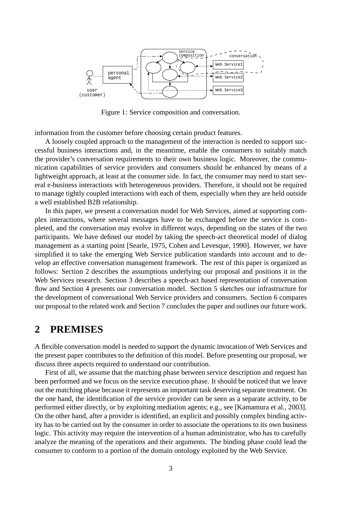

Figure 1: Service composition and conversation.

information from the customer before choosing certain product features.

A loosely coupled approach to the management of the interaction is needed to support successful business interactions and, in the meantime, enable the consumers to suitably match the provider's conversation requirements to their own business logic. Moreover, the communication capabilities of service providers and consumers should be enhanced by means of a lightweight approach, at least at the consumer side. In fact, the consumer may need to start several e-business interactions with heterogeneous providers. Therefore, it should not be required to manage tightly coupled interactions with each of them, especially when they are held outside a well established B2B relationship.

In this paper, we present a conversation model for Web Services, aimed at supporting complex interactions, where several messages have to be exchanged before the service is completed, and the conversation may evolve in different ways, depending on the states of the two participants. We have defined our model by taking the speech-act theoretical model of dialog management as a starting point [Searle, 1975, Cohen and Levesque, 1990]. However, we have simplified it to take the emerging Web Service publication standards into account and to develop an effective conversation management framework. The rest of this paper is organized as follows: Section 2 describes the assumptions underlying our proposal and positions it in the Web Services research. Section 3 describes a speech-act based representation of conversation flow and Section 4 presents our conversation model. Section 5 sketches our infrastructure for the development of conversational Web Service providers and consumers. Section 6 compares our proposal to the related work and Section 7 concludes the paper and outlines our future work.

### **2 PREMISES**

A flexible conversation model is needed to support the dynamic invocation of Web Services and the present paper contributes to the definition of this model. Before presenting our proposal, we discuss three aspects required to understand our contribution.

First of all, we assume that the matching phase between service description and request has been performed and we focus on the service execution phase. It should be noticed that we leave out the matching phase because it represents an important task deserving separate treatment. On the one hand, the identification of the service provider can be seen as a separate activity, to be performed either directly, or by exploiting mediation agents; e.g., see [Kamamura et al., 2003]. On the other hand, after a provider is identified, an explicit and possibly complex binding activity has to be carried out by the consumer in order to associate the operations to its own business logic. This activity may require the intervention of a human administrator, who has to carefully analyze the meaning of the operations and their arguments. The binding phase could lead the consumer to conform to a portion of the domain ontology exploited by the Web Service.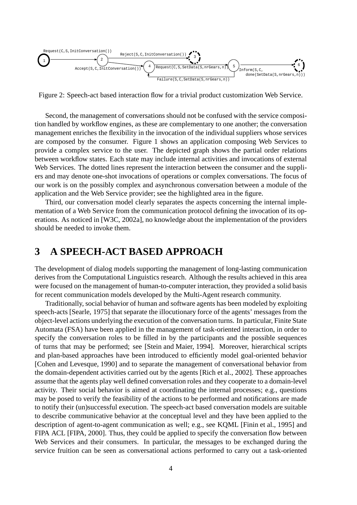

Figure 2: Speech-act based interaction flow for a trivial product customization Web Service.

Second, the management of conversations should not be confused with the service composition handled by workflow engines, as these are complementary to one another; the conversation management enriches the flexibility in the invocation of the individual suppliers whose services are composed by the consumer. Figure 1 shows an application composing Web Services to provide a complex service to the user. The depicted graph shows the partial order relations between workflow states. Each state may include internal activities and invocations of external Web Services. The dotted lines represent the interaction between the consumer and the suppliers and may denote one-shot invocations of operations or complex conversations. The focus of our work is on the possibly complex and asynchronous conversation between a module of the application and the Web Service provider; see the highlighted area in the figure.

Third, our conversation model clearly separates the aspects concerning the internal implementation of a Web Service from the communication protocol defining the invocation of its operations. As noticed in [W3C, 2002a], no knowledge about the implementation of the providers should be needed to invoke them.

### **3 A SPEECH-ACT BASED APPROACH**

The development of dialog models supporting the management of long-lasting communication derives from the Computational Linguistics research. Although the results achieved in this area were focused on the management of human-to-computer interaction, they provided a solid basis for recent communication models developed by the Multi-Agent research community.

Traditionally, social behavior of human and software agents has been modeled by exploiting speech-acts [Searle, 1975] that separate the illocutionary force of the agents' messages from the object-level actions underlying the execution of the conversation turns. In particular, Finite State Automata (FSA) have been applied in the management of task-oriented interaction, in order to specify the conversation roles to be filled in by the participants and the possible sequences of turns that may be performed; see [Stein and Maier, 1994]. Moreover, hierarchical scripts and plan-based approaches have been introduced to efficiently model goal-oriented behavior [Cohen and Levesque, 1990] and to separate the management of conversational behavior from the domain-dependent activities carried out by the agents [Rich et al., 2002]. These approaches assume that the agents play well defined conversation roles and they cooperate to a domain-level activity. Their social behavior is aimed at coordinating the internal processes; e.g., questions may be posed to verify the feasibility of the actions to be performed and notifications are made to notify their (un)successful execution. The speech-act based conversation models are suitable to describe communicative behavior at the conceptual level and they have been applied to the description of agent-to-agent communication as well; e.g., see KQML [Finin et al., 1995] and FIPA ACL [FIPA, 2000]. Thus, they could be applied to specify the conversation flow between Web Services and their consumers. In particular, the messages to be exchanged during the service fruition can be seen as conversational actions performed to carry out a task-oriented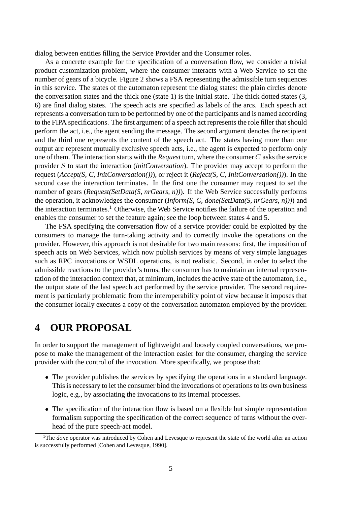dialog between entities filling the Service Provider and the Consumer roles.

As a concrete example for the specification of a conversation flow, we consider a trivial product customization problem, where the consumer interacts with a Web Service to set the number of gears of a bicycle. Figure 2 shows a FSA representing the admissible turn sequences in this service. The states of the automaton represent the dialog states: the plain circles denote the conversation states and the thick one (state 1) is the initial state. The thick dotted states (3, 6) are final dialog states. The speech acts are specified as labels of the arcs. Each speech act represents a conversation turn to be performed by one of the participants and is named according to the FIPA specifications. The first argument of a speech act represents the role filler that should perform the act, i.e., the agent sending the message. The second argument denotes the recipient and the third one represents the content of the speech act. The states having more than one output arc represent mutually exclusive speech acts, i.e., the agent is expected to perform only one of them. The interaction starts with the *Request* turn, where the consumer C asks the service provider <sup>S</sup> to start the interaction (*initConversation*). The provider may accept to perform the request (*Accept(S, C, InitConversation())*), or reject it (*Reject(S, C, InitConversation())*). In the second case the interaction terminates. In the first one the consumer may request to set the number of gears (*Request*(*SetData*(*S, nrGears, n*))). If the Web Service successfully performs the operation, it acknowledges the consumer (*Inform(S, C, done(SetData(S, nrGears, n)))*) and the interaction terminates.<sup>1</sup> Otherwise, the Web Service notifies the failure of the operation and enables the consumer to set the feature again; see the loop between states 4 and 5.

The FSA specifying the conversation flow of a service provider could be exploited by the consumers to manage the turn-taking activity and to correctly invoke the operations on the provider. However, this approach is not desirable for two main reasons: first, the imposition of speech acts on Web Services, which now publish services by means of very simple languages such as RPC invocations or WSDL operations, is not realistic. Second, in order to select the admissible reactions to the provider's turns, the consumer has to maintain an internal representation of the interaction context that, at minimum, includes the active state of the automaton, i.e., the output state of the last speech act performed by the service provider. The second requirement is particularly problematic from the interoperability point of view because it imposes that the consumer locally executes a copy of the conversation automaton employed by the provider.

# **4 OUR PROPOSAL**

In order to support the management of lightweight and loosely coupled conversations, we propose to make the management of the interaction easier for the consumer, charging the service provider with the control of the invocation. More specifically, we propose that:

- The provider publishes the services by specifying the operations in a standard language. This is necessary to let the consumer bind the invocations of operations to its own business logic, e.g., by associating the invocations to its internal processes.
- The specification of the interaction flow is based on a flexible but simple representation formalism supporting the specification of the correct sequence of turns without the overhead of the pure speech-act model.

<sup>&</sup>lt;sup>1</sup>The *done* operator was introduced by Cohen and Levesque to represent the state of the world after an action is successfully performed [Cohen and Levesque, 1990].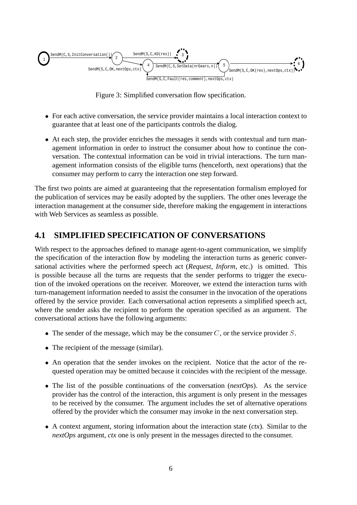

Figure 3: Simplified conversation flow specification.

- For each active conversation, the service provider maintains a local interaction context to guarantee that at least one of the participants controls the dialog.
- At each step, the provider enriches the messages it sends with contextual and turn management information in order to instruct the consumer about how to continue the conversation. The contextual information can be void in trivial interactions. The turn management information consists of the eligible turns (henceforth, next operations) that the consumer may perform to carry the interaction one step forward.

The first two points are aimed at guaranteeing that the representation formalism employed for the publication of services may be easily adopted by the suppliers. The other ones leverage the interaction management at the consumer side, therefore making the engagement in interactions with Web Services as seamless as possible.

### **4.1 SIMPLIFIED SPECIFICATION OF CONVERSATIONS**

With respect to the approaches defined to manage agent-to-agent communication, we simplify the specification of the interaction flow by modeling the interaction turns as generic conversational activities where the performed speech act (*Request, Inform*, etc.) is omitted. This is possible because all the turns are requests that the sender performs to trigger the execution of the invoked operations on the receiver. Moreover, we extend the interaction turns with turn-management information needed to assist the consumer in the invocation of the operations offered by the service provider. Each conversational action represents a simplified speech act, where the sender asks the recipient to perform the operation specified as an argument. The conversational actions have the following arguments:

- $\bullet$  The sender of the message, which may be the consumer C, or the service provider S.
- The recipient of the message (similar).
- An operation that the sender invokes on the recipient. Notice that the actor of the requested operation may be omitted because it coincides with the recipient of the message.
- The list of the possible continuations of the conversation (*nextOps*). As the service provider has the control of the interaction, this argument is only present in the messages to be received by the consumer. The argument includes the set of alternative operations offered by the provider which the consumer may invoke in the next conversation step.
- A context argument, storing information about the interaction state (*ctx*). Similar to the *nextOps* argument, *ctx* one is only present in the messages directed to the consumer.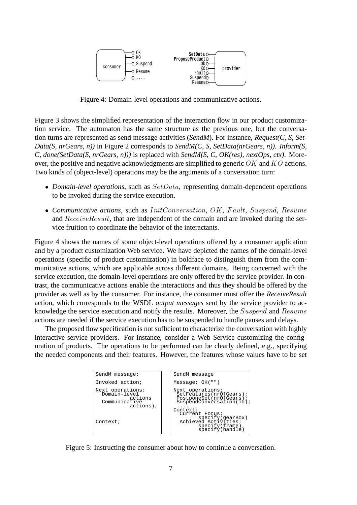

Figure 4: Domain-level operations and communicative actions.

Figure 3 shows the simplified representation of the interaction flow in our product customization service. The automaton has the same structure as the previous one, but the conversation turns are represented as send message activities (*SendM*). For instance, *Request(C, S, Set-Data(S, nrGears, n))* in Figure 2 corresponds to *SendM(C, S, SetData(nrGears, n))*. *Inform(S, C, done(SetData(S, nrGears, n)))* is replaced with *SendM(S, C, OK(res), nextOps, ctx)*. Moreover, the positive and negative acknowledgments are simplified to generic  $OK$  and  $KO$  actions. Two kinds of (object-level) operations may be the arguments of a conversation turn:

- *Domain-level operations*, such as SetData, representing domain-dependent operations to be invoked during the service execution.
- Communicative actions, such as InitConversation, OK, Fault, Suspend, Resume and ReceiveResult, that are independent of the domain and are invoked during the service fruition to coordinate the behavior of the interactants.

Figure 4 shows the names of some object-level operations offered by a consumer application and by a product customization Web service. We have depicted the names of the domain-level operations (specific of product customization) in boldface to distinguish them from the communicative actions, which are applicable across different domains. Being concerned with the service execution, the domain-level operations are only offered by the service provider. In contrast, the communicative actions enable the interactions and thus they should be offered by the provider as well as by the consumer. For instance, the consumer must offer the *ReceiveResult* action, which corresponds to the WSDL *output messages* sent by the service provider to acknowledge the service execution and notify the results. Moreover, the Suspend and Resume actions are needed if the service execution has to be suspended to handle pauses and delays.

The proposed flow specification is not sufficient to characterize the conversation with highly interactive service providers. For instance, consider a Web Service customizing the configuration of products. The operations to be performed can be clearly defined, e.g., specifying the needed components and their features. However, the features whose values have to be set



Figure 5: Instructing the consumer about how to continue a conversation.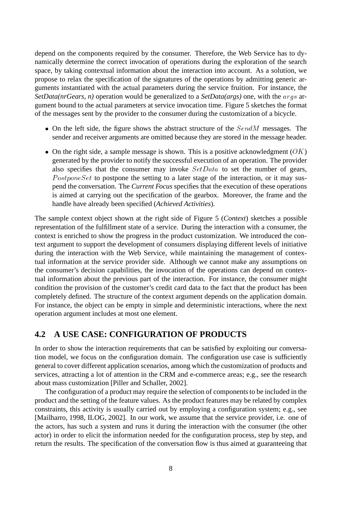depend on the components required by the consumer. Therefore, the Web Service has to dynamically determine the correct invocation of operations during the exploration of the search space, by taking contextual information about the interaction into account. As a solution, we propose to relax the specification of the signatures of the operations by admitting generic arguments instantiated with the actual parameters during the service fruition. For instance, the *SetData(nrGears, n)* operation would be generalized to a *SetData(args)* one, with the args argument bound to the actual parameters at service invocation time. Figure 5 sketches the format of the messages sent by the provider to the consumer during the customization of a bicycle.

- $\bullet$  On the left side, the figure shows the abstract structure of the  $SendM$  messages. The sender and receiver arguments are omitted because they are stored in the message header.
- On the right side, a sample message is shown. This is a positive acknowledgment  $(OK)$ generated by the provider to notify the successful execution of an operation. The provider also specifies that the consumer may invoke  $SetData$  to set the number of gears, Postpone Set to postpone the setting to a later stage of the interaction, or it may suspend the conversation. The *Current Focus* specifies that the execution of these operations is aimed at carrying out the specification of the gearbox. Moreover, the frame and the handle have already been specified (*Achieved Activities*).

The sample context object shown at the right side of Figure 5 (*Context*) sketches a possible representation of the fulfillment state of a service. During the interaction with a consumer, the context is enriched to show the progress in the product customization. We introduced the context argument to support the development of consumers displaying different levels of initiative during the interaction with the Web Service, while maintaining the management of contextual information at the service provider side. Although we cannot make any assumptions on the consumer's decision capabilities, the invocation of the operations can depend on contextual information about the previous part of the interaction. For instance, the consumer might condition the provision of the customer's credit card data to the fact that the product has been completely defined. The structure of the context argument depends on the application domain. For instance, the object can be empty in simple and deterministic interactions, where the next operation argument includes at most one element.

### **4.2 A USE CASE: CONFIGURATION OF PRODUCTS**

In order to show the interaction requirements that can be satisfied by exploiting our conversation model, we focus on the configuration domain. The configuration use case is sufficiently general to cover different application scenarios, among which the customization of products and services, attracting a lot of attention in the CRM and e-commerce areas; e.g., see the research about mass customization [Piller and Schaller, 2002].

The configuration of a product may require the selection of components to be included in the product and the setting of the feature values. As the product features may be related by complex constraints, this activity is usually carried out by employing a configuration system; e.g., see [Mailharro, 1998, ILOG, 2002]. In our work, we assume that the service provider, i.e. one of the actors, has such a system and runs it during the interaction with the consumer (the other actor) in order to elicit the information needed for the configuration process, step by step, and return the results. The specification of the conversation flow is thus aimed at guaranteeing that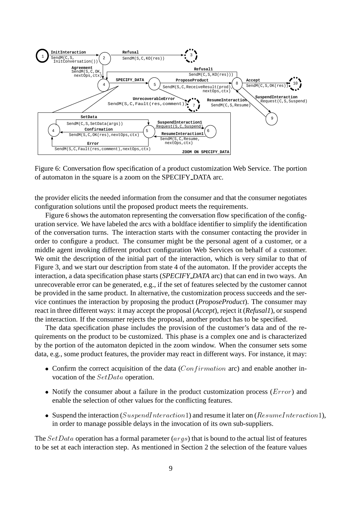

Figure 6: Conversation flow specification of a product customization Web Service. The portion of automaton in the square is a zoom on the SPECIFY DATA arc.

the provider elicits the needed information from the consumer and that the consumer negotiates configuration solutions until the proposed product meets the requirements.

Figure 6 shows the automaton representing the conversation flow specification of the configuration service. We have labeled the arcs with a boldface identifier to simplify the identification of the conversation turns. The interaction starts with the consumer contacting the provider in order to configure a product. The consumer might be the personal agent of a customer, or a middle agent invoking different product configuration Web Services on behalf of a customer. We omit the description of the initial part of the interaction, which is very similar to that of Figure 3, and we start our description from state 4 of the automaton. If the provider accepts the interaction, a data specification phase starts (*SPECIFY DATA* arc) that can end in two ways. An unrecoverable error can be generated, e.g., if the set of features selected by the customer cannot be provided in the same product. In alternative, the customization process succeeds and the service continues the interaction by proposing the product (*ProposeProduct*). The consumer may react in three different ways: it may accept the proposal (*Accept*), reject it (*Refusal1*), or suspend the interaction. If the consumer rejects the proposal, another product has to be specified.

The data specification phase includes the provision of the customer's data and of the requirements on the product to be customized. This phase is a complex one and is characterized by the portion of the automaton depicted in the zoom window. When the consumer sets some data, e.g., some product features, the provider may react in different ways. For instance, it may:

- Confirm the correct acquisition of the data  $Confirmation$  arc) and enable another invocation of the SetData operation.
- Notify the consumer about a failure in the product customization process ( $Error$ ) and enable the selection of other values for the conflicting features.
- Suspend the interaction ( $SuspendInteraction1$ ) and resume it later on ( $ResumeInteraction1$ ), in order to manage possible delays in the invocation of its own sub-suppliers.

The  $SetData$  operation has a formal parameter ( $args$ ) that is bound to the actual list of features to be set at each interaction step. As mentioned in Section 2 the selection of the feature values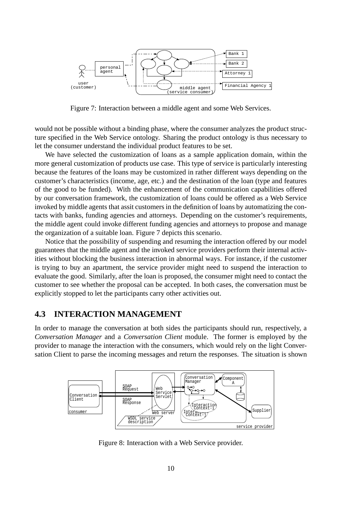

Figure 7: Interaction between a middle agent and some Web Services.

would not be possible without a binding phase, where the consumer analyzes the product structure specified in the Web Service ontology. Sharing the product ontology is thus necessary to let the consumer understand the individual product features to be set.

We have selected the customization of loans as a sample application domain, within the more general customization of products use case. This type of service is particularly interesting because the features of the loans may be customized in rather different ways depending on the customer's characteristics (income, age, etc.) and the destination of the loan (type and features of the good to be funded). With the enhancement of the communication capabilities offered by our conversation framework, the customization of loans could be offered as a Web Service invoked by middle agents that assit customers in the definition of loans by automatizing the contacts with banks, funding agencies and attorneys. Depending on the customer's requirements, the middle agent could invoke different funding agencies and attorneys to propose and manage the organization of a suitable loan. Figure 7 depicts this scenario.

Notice that the possibility of suspending and resuming the interaction offered by our model guarantees that the middle agent and the invoked service providers perform their internal activities without blocking the business interaction in abnormal ways. For instance, if the customer is trying to buy an apartment, the service provider might need to suspend the interaction to evaluate the good. Similarly, after the loan is proposed, the consumer might need to contact the customer to see whether the proposal can be accepted. In both cases, the conversation must be explicitly stopped to let the participants carry other activities out.

#### **4.3 INTERACTION MANAGEMENT**

In order to manage the conversation at both sides the participants should run, respectively, a *Conversation Manager* and a *Conversation Client* module. The former is employed by the provider to manage the interaction with the consumers, which would rely on the light Conversation Client to parse the incoming messages and return the responses. The situation is shown



Figure 8: Interaction with a Web Service provider.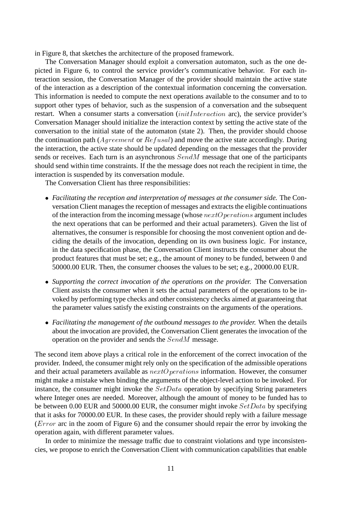in Figure 8, that sketches the architecture of the proposed framework.

The Conversation Manager should exploit a conversation automaton, such as the one depicted in Figure 6, to control the service provider's communicative behavior. For each interaction session, the Conversation Manager of the provider should maintain the active state of the interaction as a description of the contextual information concerning the conversation. This information is needed to compute the next operations available to the consumer and to to support other types of behavior, such as the suspension of a conversation and the subsequent restart. When a consumer starts a conversation *(initInteraction* arc), the service provider's Conversation Manager should initialize the interaction context by setting the active state of the conversation to the initial state of the automaton (state 2). Then, the provider should choose the continuation path ( $Agreement$  or  $Refusal)$  and move the active state accordingly. During the interaction, the active state should be updated depending on the messages that the provider sends or receives. Each turn is an asynchronous  $SendM$  message that one of the participants should send within time constraints. If the the message does not reach the recipient in time, the interaction is suspended by its conversation module.

The Conversation Client has three responsibilities:

- *Facilitating the reception and interpretation of messages at the consumer side.* The Conversation Client manages the reception of messages and extracts the eligible continuations of the interaction from the incoming message (whose  $nextOperations$  argument includes the next operations that can be performed and their actual parameters). Given the list of alternatives, the consumer is responsible for choosing the most convenient option and deciding the details of the invocation, depending on its own business logic. For instance, in the data specification phase, the Conversation Client instructs the consumer about the product features that must be set; e.g., the amount of money to be funded, between 0 and 50000.00 EUR. Then, the consumer chooses the values to be set; e.g., 20000.00 EUR.
- *Supporting the correct invocation of the operations on the provider.* The Conversation Client assists the consumer when it sets the actual parameters of the operations to be invoked by performing type checks and other consistency checks aimed at guaranteeing that the parameter values satisfy the existing constraints on the arguments of the operations.
- Facilitating the management of the outbound messages to the *provider*. When the details about the invocation are provided, the Conversation Client generates the invocation of the operation on the provider and sends the SendM message.

The second item above plays a critical role in the enforcement of the correct invocation of the provider. Indeed, the consumer might rely only on the specification of the admissible operations and their actual parameters available as  $nextOperations$  information. However, the consumer might make a mistake when binding the arguments of the object-level action to be invoked. For instance, the consumer might invoke the  $SetData$  operation by specifying String parameters where Integer ones are needed. Moreover, although the amount of money to be funded has to be between 0.00 EUR and 50000.00 EUR, the consumer might invoke  $SetData$  by specifying that it asks for 70000.00 EUR. In these cases, the provider should reply with a failure message ( $Error$  arc in the zoom of Figure 6) and the consumer should repair the error by invoking the operation again, with different parameter values.

In order to minimize the message traffic due to constraint violations and type inconsistencies, we propose to enrich the Conversation Client with communication capabilities that enable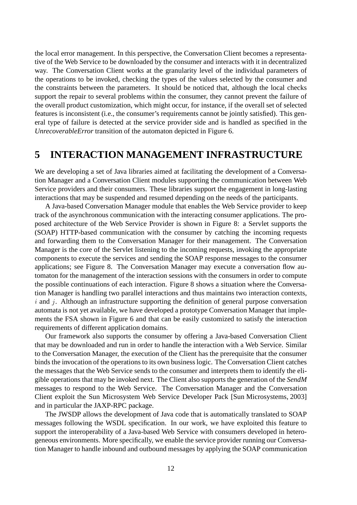the local error management. In this perspective, the Conversation Client becomes a representative of the Web Service to be downloaded by the consumer and interacts with it in decentralized way. The Conversation Client works at the granularity level of the individual parameters of the operations to be invoked, checking the types of the values selected by the consumer and the constraints between the parameters. It should be noticed that, although the local checks support the repair to several problems within the consumer, they cannot prevent the failure of the overall product customization, which might occur, for instance, if the overall set of selected features is inconsistent (i.e., the consumer's requirements cannot be jointly satisfied). This general type of failure is detected at the service provider side and is handled as specified in the *UnrecoverableError* transition of the automaton depicted in Figure 6.

### **5 INTERACTION MANAGEMENT INFRASTRUCTURE**

We are developing a set of Java libraries aimed at facilitating the development of a Conversation Manager and a Conversation Client modules supporting the communication between Web Service providers and their consumers. These libraries support the engagement in long-lasting interactions that may be suspended and resumed depending on the needs of the participants.

A Java-based Conversation Manager module that enables the Web Service provider to keep track of the asynchronous communication with the interacting consumer applications. The proposed architecture of the Web Service Provider is shown in Figure 8: a Servlet supports the (SOAP) HTTP-based communication with the consumer by catching the incoming requests and forwarding them to the Conversation Manager for their management. The Conversation Manager is the core of the Servlet listening to the incoming requests, invoking the appropriate components to execute the services and sending the SOAP response messages to the consumer applications; see Figure 8. The Conversation Manager may execute a conversation flow automaton for the management of the interaction sessions with the consumers in order to compute the possible continuations of each interaction. Figure 8 shows a situation where the Conversation Manager is handling two parallel interactions and thus maintains two interaction contexts,  $i$  and  $j$ . Although an infrastructure supporting the definition of general purpose conversation automata is not yet available, we have developed a prototype Conversation Manager that implements the FSA shown in Figure 6 and that can be easily customized to satisfy the interaction requirements of different application domains.

Our framework also supports the consumer by offering a Java-based Conversation Client that may be downloaded and run in order to handle the interaction with a Web Service. Similar to the Conversation Manager, the execution of the Client has the prerequisite that the consumer binds the invocation of the operations to its own business logic. The Conversation Client catches the messages that the Web Service sends to the consumer and interprets them to identify the eligible operations that may be invoked next. The Client also supports the generation of the *SendM* messages to respond to the Web Service. The Conversation Manager and the Conversation Client exploit the Sun Microsystem Web Service Developer Pack [Sun Microsystems, 2003] and in particular the JAXP-RPC package.

The JWSDP allows the development of Java code that is automatically translated to SOAP messages following the WSDL specification. In our work, we have exploited this feature to support the interoperability of a Java-based Web Service with consumers developed in heterogeneous environments. More specifically, we enable the service provider running our Conversation Manager to handle inbound and outbound messages by applying the SOAP communication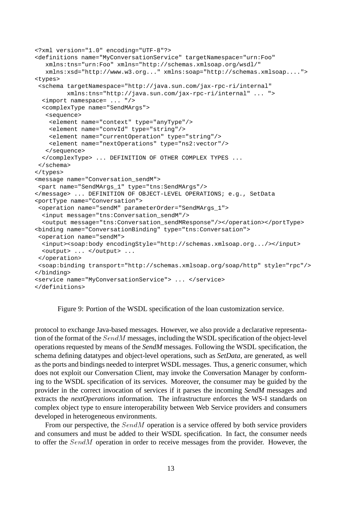```
<?xml version="1.0" encoding="UTF-8"?>
<definitions name="MyConversationService" targetNamespace="urn:Foo"
  xmlns:tns="urn:Foo" xmlns="http://schemas.xmlsoap.org/wsdl/"
  xmlns:xsd="http://www.w3.org..." xmlns:soap="http://schemas.xmlsoap....">
<types>
 <schema targetNamespace="http://java.sun.com/jax-rpc-ri/internal"
        xmlns:tns="http://java.sun.com/jax-rpc-ri/internal" ... ">
 <import namespace= ... "/>
 <complexType name="SendMArgs">
  <sequence>
   <element name="context" type="anyType"/>
   <element name="convId" type="string"/>
   <element name="currentOperation" type="string"/>
   <element name="nextOperations" type="ns2:vector"/>
  </sequence>
 </complexType> ... DEFINITION OF OTHER COMPLEX TYPES ...
 </schema>
</types>
<message name="Conversation_sendM">
<part name="SendMArgs_1" type="tns:SendMArgs"/>
</message> ... DEFINITION OF OBJECT-LEVEL OPERATIONS; e.g., SetData
<portType name="Conversation">
 <operation name="sendM" parameterOrder="SendMArgs_1">
 <input message="tns:Conversation_sendM"/>
 <output message="tns:Conversation_sendMResponse"/></operation></portType>
<binding name="ConversationBinding" type="tns:Conversation">
 <operation name="sendM">
 <input><soap:body encodingStyle="http://schemas.xmlsoap.org.../></input>
 <output> ... </output> ...
 </operation>
 <soap:binding transport="http://schemas.xmlsoap.org/soap/http" style="rpc"/>
</binding>
<service name="MyConversationService"> ... </service>
</definitions>
```
Figure 9: Portion of the WSDL specification of the loan customization service.

protocol to exchange Java-based messages. However, we also provide a declarative representation of the format of the  $SendM$  messages, including the WSDL specification of the object-level operations requested by means of the *SendM* messages. Following the WSDL specification, the schema defining datatypes and object-level operations, such as *SetData*, are generated, as well as the ports and bindings needed to interpret WSDL messages. Thus, a generic consumer, which does not exploit our Conversation Client, may invoke the Conversation Manager by conforming to the WSDL specification of its services. Moreover, the consumer may be guided by the provider in the correct invocation of services if it parses the incoming *SendM* messages and extracts the *nextOperations* information. The infrastructure enforces the WS-I standards on complex object type to ensure interoperability between Web Service providers and consumers developed in heterogeneous environments.

From our perspective, the  $SendM$  operation is a service offered by both service providers and consumers and must be added to their WSDL specification. In fact, the consumer needs to offer the  $SendM$  operation in order to receive messages from the provider. However, the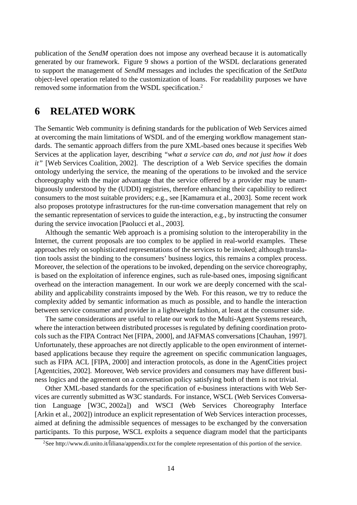publication of the *SendM* operation does not impose any overhead because it is automatically generated by our framework. Figure 9 shows a portion of the WSDL declarations generated to support the management of *SendM* messages and includes the specification of the *SetData* object-level operation related to the customization of loans. For readability purposes we have removed some information from the WSDL specification.<sup>2</sup>

## **6 RELATED WORK**

The Semantic Web community is defining standards for the publication of Web Services aimed at overcoming the main limitations of WSDL and of the emerging workflow management standards. The semantic approach differs from the pure XML-based ones because it specifies Web Services at the application layer, describing *"what a service can do, and not just how it does it*" [Web Services Coalition, 2002]. The description of a Web Service specifies the domain ontology underlying the service, the meaning of the operations to be invoked and the service choreography with the major advantage that the service offered by a provider may be unambiguously understood by the (UDDI) registries, therefore enhancing their capability to redirect consumers to the most suitable providers; e.g., see [Kamamura et al., 2003]. Some recent work also proposes prototype infrastructures for the run-time conversation management that rely on the semantic representation of services to guide the interaction, e.g., by instructing the consumer during the service invocation [Paolucci et al., 2003].

Although the semantic Web approach is a promising solution to the interoperability in the Internet, the current proposals are too complex to be applied in real-world examples. These approaches rely on sophisticated representations of the services to be invoked; although translation tools assist the binding to the consumers' business logics, this remains a complex process. Moreover, the selection of the operations to be invoked, depending on the service choreography, is based on the exploitation of inference engines, such as rule-based ones, imposing significant overhead on the interaction management. In our work we are deeply concerned with the scalability and applicability constraints imposed by the Web. For this reason, we try to reduce the complexity added by semantic information as much as possible, and to handle the interaction between service consumer and provider in a lightweight fashion, at least at the consumer side.

The same considerations are useful to relate our work to the Multi-Agent Systems research, where the interaction between distributed processes is regulated by defining coordination protocols such as the FIPA Contract Net [FIPA, 2000], and JAFMAS conversations [Chauhan, 1997]. Unfortunately, these approaches are not directly applicable to the open environment of internetbased applications because they require the agreement on specific communication languages, such as FIPA ACL [FIPA, 2000] and interaction protocols, as done in the AgentCities project [Agentcities, 2002]. Moreover, Web service providers and consumers may have different business logics and the agreement on a conversation policy satisfying both of them is not trivial.

Other XML-based standards for the specification of e-business interactions with Web Services are currently submitted as W3C standards. For instance, WSCL (Web Services Conversation Language [W3C, 2002a]) and WSCI (Web Services Choreography Interface [Arkin et al., 2002]) introduce an explicit representation of Web Services interaction processes, aimed at defining the admissible sequences of messages to be exchanged by the conversation participants. To this purpose, WSCL exploits a sequence diagram model that the participants

<sup>&</sup>lt;sup>2</sup>See http://www.di.unito.it/ $\tilde{I}$ iliana/appendix.txt for the complete representation of this portion of the service.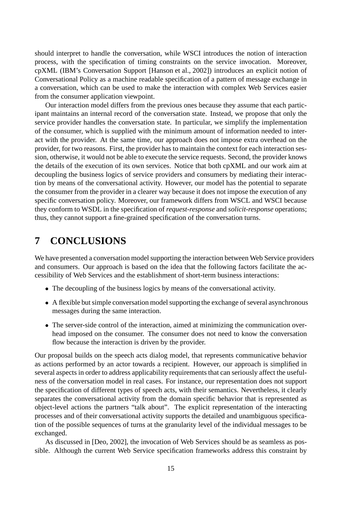should interpret to handle the conversation, while WSCI introduces the notion of interaction process, with the specification of timing constraints on the service invocation. Moreover, cpXML (IBM's Conversation Support [Hanson et al., 2002]) introduces an explicit notion of Conversational Policy as a machine readable specification of a pattern of message exchange in a conversation, which can be used to make the interaction with complex Web Services easier from the consumer application viewpoint.

Our interaction model differs from the previous ones because they assume that each participant maintains an internal record of the conversation state. Instead, we propose that only the service provider handles the conversation state. In particular, we simplify the implementation of the consumer, which is supplied with the minimum amount of information needed to interact with the provider. At the same time, our approach does not impose extra overhead on the provider, for two reasons. First, the provider has to maintain the context for each interaction session, otherwise, it would not be able to execute the service requests. Second, the provider knows the details of the execution of its own services. Notice that both cpXML and our work aim at decoupling the business logics of service providers and consumers by mediating their interaction by means of the conversational activity. However, our model has the potential to separate the consumer from the provider in a clearer way because it does not impose the execution of any specific conversation policy. Moreover, our framework differs from WSCL and WSCI because they conform to WSDL in the specification of *request-response* and *solicit-response* operations; thus, they cannot support a fine-grained specification of the conversation turns.

# **7 CONCLUSIONS**

We have presented a conversation model supporting the interaction between Web Service providers and consumers. Our approach is based on the idea that the following factors facilitate the accessibility of Web Services and the establishment of short-term business interactions:

- The decoupling of the business logics by means of the conversational activity.
- A flexible but simple conversation model supporting the exchange of several asynchronous messages during the same interaction.
- The server-side control of the interaction, aimed at minimizing the communication overhead imposed on the consumer. The consumer does not need to know the conversation flow because the interaction is driven by the provider.

Our proposal builds on the speech acts dialog model, that represents communicative behavior as actions performed by an actor towards a recipient. However, our approach is simplified in several aspects in order to address applicability requirements that can seriously affect the usefulness of the conversation model in real cases. For instance, our representation does not support the specification of different types of speech acts, with their semantics. Nevertheless, it clearly separates the conversational activity from the domain specific behavior that is represented as object-level actions the partners "talk about". The explicit representation of the interacting processes and of their conversational activity supports the detailed and unambiguous specification of the possible sequences of turns at the granularity level of the individual messages to be exchanged.

As discussed in [Deo, 2002], the invocation of Web Services should be as seamless as possible. Although the current Web Service specification frameworks address this constraint by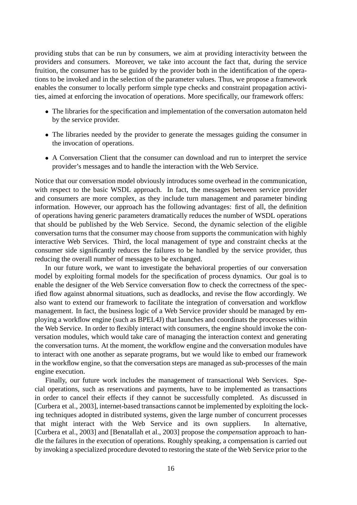providing stubs that can be run by consumers, we aim at providing interactivity between the providers and consumers. Moreover, we take into account the fact that, during the service fruition, the consumer has to be guided by the provider both in the identification of the operations to be invoked and in the selection of the parameter values. Thus, we propose a framework enables the consumer to locally perform simple type checks and constraint propagation activities, aimed at enforcing the invocation of operations. More specifically, our framework offers:

- The libraries for the specification and implementation of the conversation automaton held by the service provider.
- The libraries needed by the provider to generate the messages guiding the consumer in the invocation of operations.
- A Conversation Client that the consumer can download and run to interpret the service provider's messages and to handle the interaction with the Web Service.

Notice that our conversation model obviously introduces some overhead in the communication, with respect to the basic WSDL approach. In fact, the messages between service provider and consumers are more complex, as they include turn management and parameter binding information. However, our approach has the following advantages: first of all, the definition of operations having generic parameters dramatically reduces the number of WSDL operations that should be published by the Web Service. Second, the dynamic selection of the eligible conversation turns that the consumer may choose from supports the communication with highly interactive Web Services. Third, the local management of type and constraint checks at the consumer side significantly reduces the failures to be handled by the service provider, thus reducing the overall number of messages to be exchanged.

In our future work, we want to investigate the behavioral properties of our conversation model by exploiting formal models for the specification of process dynamics. Our goal is to enable the designer of the Web Service conversation flow to check the correctness of the specified flow against abnormal situations, such as deadlocks, and revise the flow accordingly. We also want to extend our framework to facilitate the integration of conversation and workflow management. In fact, the business logic of a Web Service provider should be managed by employing a workflow engine (such as BPEL4J) that launches and coordinats the processes within the Web Service. In order to flexibly interact with consumers, the engine should invoke the conversation modules, which would take care of managing the interaction context and generating the conversation turns. At the moment, the workflow engine and the conversation modules have to interact with one another as separate programs, but we would like to embed our framework in the workflow engine, so that the conversation steps are managed as sub-processes of the main engine execution.

Finally, our future work includes the management of transactional Web Services. Special operations, such as reservations and payments, have to be implemented as transactions in order to cancel their effects if they cannot be successfully completed. As discussed in [Curbera et al., 2003], internet-based transactions cannot be implemented by exploiting the locking techniques adopted in distributed systems, given the large number of concurrent processes that might interact with the Web Service and its own suppliers. In alternative, [Curbera et al., 2003] and [Benatallah et al., 2003] propose the *compensation* approach to handle the failures in the execution of operations. Roughly speaking, a compensation is carried out by invoking a specialized procedure devoted to restoring the state of the Web Service prior to the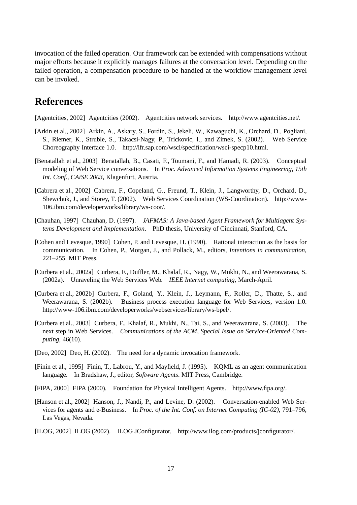invocation of the failed operation. Our framework can be extended with compensations without major efforts because it explicitly manages failures at the conversation level. Depending on the failed operation, a compensation procedure to be handled at the workflow management level can be invoked.

### **References**

[Agentcities, 2002] Agentcities (2002). Agentcities network services. http://www.agentcities.net/.

- [Arkin et al., 2002] Arkin, A., Askary, S., Fordin, S., Jekeli, W., Kawaguchi, K., Orchard, D., Pogliani, S., Riemer, K., Struble, S., Takacsi-Nagy, P., Trickovic, I., and Zimek, S. (2002). Web Service Choreography Interface 1.0. http://ifr.sap.com/wsci/specification/wsci-specp10.html.
- [Benatallah et al., 2003] Benatallah, B., Casati, F., Toumani, F., and Hamadi, R. (2003). Conceptual modeling of Web Service conversations. In *Proc. Advanced Information Systems Engineering, 15th Int. Conf., CAiSE 2003*, Klagenfurt, Austria.
- [Cabrera et al., 2002] Cabrera, F., Copeland, G., Freund, T., Klein, J., Langworthy, D., Orchard, D., Shewchuk, J., and Storey, T. (2002). Web Services Coordination (WS-Coordination). http://www-106.ibm.com/developerworks/library/ws-coor/.
- [Chauhan, 1997] Chauhan, D. (1997). *JAFMAS: A Java-based Agent Framework for Multiagent Systems Development and Implementation*. PhD thesis, University of Cincinnati, Stanford, CA.
- [Cohen and Levesque, 1990] Cohen, P. and Levesque, H. (1990). Rational interaction as the basis for communication. In Cohen, P., Morgan, J., and Pollack, M., editors, *Intentions in communication*, 221–255. MIT Press.
- [Curbera et al., 2002a] Curbera, F., Duffler, M., Khalaf, R., Nagy, W., Mukhi, N., and Weerawarana, S. (2002a). Unraveling the Web Services Web. *IEEE Internet computing*, March-April.
- [Curbera et al., 2002b] Curbera, F., Goland, Y., Klein, J., Leymann, F., Roller, D., Thatte, S., and Weerawarana, S. (2002b). Business process execution language for Web Services, version 1.0. http://www-106.ibm.com/developerworks/webservices/library/ws-bpel/.
- [Curbera et al., 2003] Curbera, F., Khalaf, R., Mukhi, N., Tai, S., and Weerawarana, S. (2003). The next step in Web Services. *Communications of the ACM, Special Issue on Service-Oriented Computing*, 46(10).
- [Deo, 2002] Deo, H. (2002). The need for a dynamic invocation framework.
- [Finin et al., 1995] Finin, T., Labrou, Y., and Mayfield, J. (1995). KQML as an agent communication language. In Bradshaw, J., editor, *Software Agents*. MIT Press, Cambridge.
- [FIPA, 2000] FIPA (2000). Foundation for Physical Intelligent Agents. http://www.fipa.org/.
- [Hanson et al., 2002] Hanson, J., Nandi, P., and Levine, D. (2002). Conversation-enabled Web Services for agents and e-Business. In *Proc. of the Int. Conf. on Internet Computing (IC-02)*, 791–796, Las Vegas, Nevada.
- [ILOG, 2002] ILOG (2002). ILOG JConfigurator. http://www.ilog.com/products/jconfigurator/.